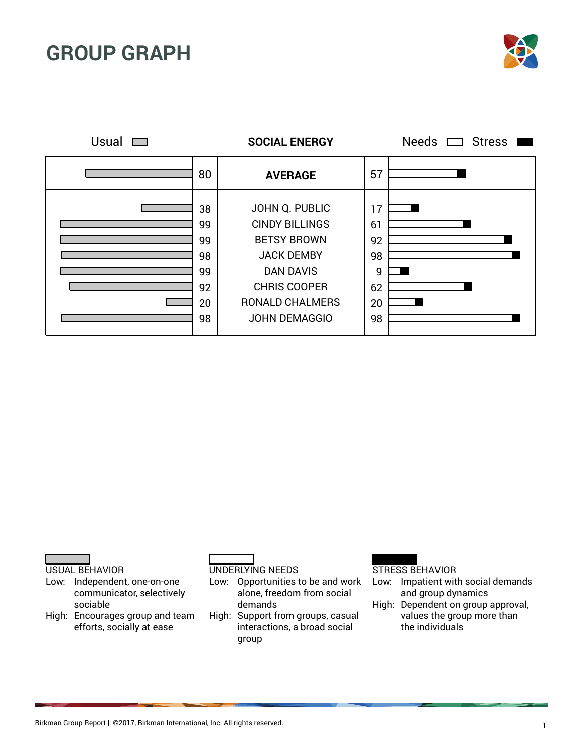



USUAL BEHAVIOR

- Low: Independent, one-on-one communicator, selectively sociable
- High: Encourages group and team efforts, socially at ease

UNDERLYING NEEDS

Low: Opportunities to be and work alone, freedom from social demands

High: Support from groups, casual interactions, a broad social group

- Low: Impatient with social demands and group dynamics
- High: Dependent on group approval, values the group more than the individuals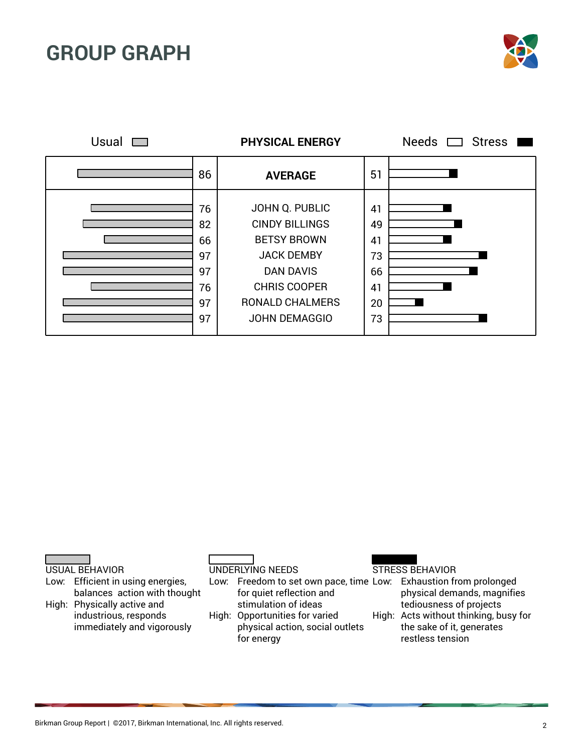

| Usual |                                              | <b>PHYSICAL ENERGY</b>                                                                                                                                                          |                                              | Needs $\Box$ Stress |
|-------|----------------------------------------------|---------------------------------------------------------------------------------------------------------------------------------------------------------------------------------|----------------------------------------------|---------------------|
|       | 86                                           | <b>AVERAGE</b>                                                                                                                                                                  | 51                                           |                     |
|       | 76<br>82<br>66<br>97<br>97<br>76<br>97<br>97 | JOHN Q. PUBLIC<br><b>CINDY BILLINGS</b><br><b>BETSY BROWN</b><br><b>JACK DEMBY</b><br><b>DAN DAVIS</b><br><b>CHRIS COOPER</b><br><b>RONALD CHALMERS</b><br><b>JOHN DEMAGGIO</b> | 41<br>49<br>41<br>73<br>66<br>41<br>20<br>73 |                     |



Low: Efficient in using energies, balances action with thought High: Physically active and industrious, responds immediately and vigorously

UNDERLYING NEEDS

Low: Freedom to set own pace, time Low: Exhaustion from prolonged for quiet reflection and stimulation of ideas High: Opportunities for varied

physical action, social outlets for energy

### STRESS BEHAVIOR

physical demands, magnifies tediousness of projects

High: Acts without thinking, busy for the sake of it, generates restless tension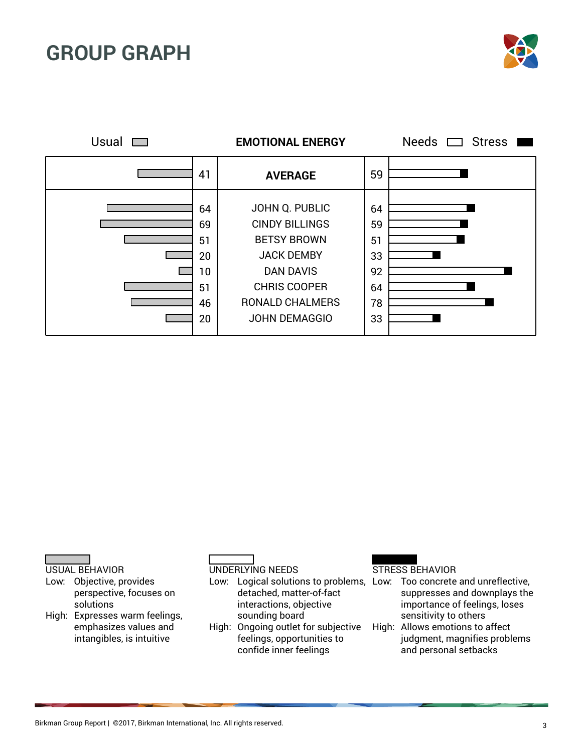





- Low: Objective, provides perspective, focuses on solutions
- High: Expresses warm feelings, emphasizes values and intangibles, is intuitive

### UNDERLYING NEEDS

Low: Logical solutions to problems, Low: Too concrete and unreflective, detached, matter-of-fact interactions, objective sounding board

High: Ongoing outlet for subjective feelings, opportunities to confide inner feelings

- suppresses and downplays the importance of feelings, loses sensitivity to others
- High: Allows emotions to affect judgment, magnifies problems and personal setbacks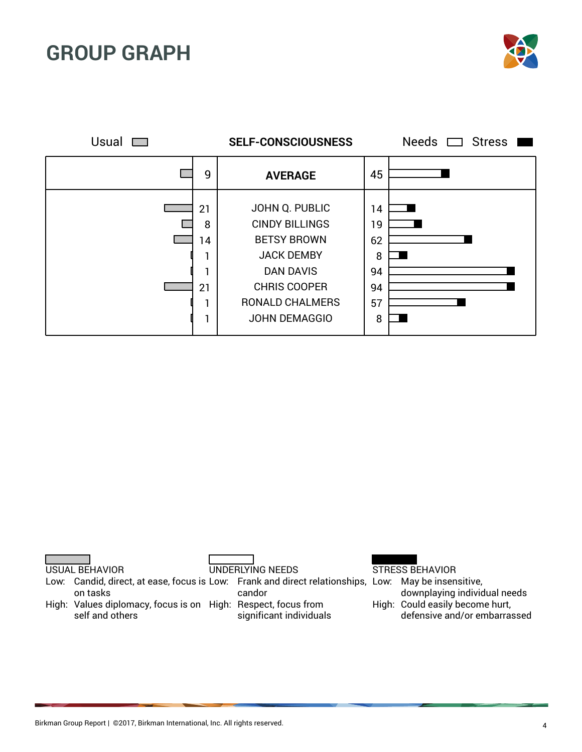

| Usual |                          | <b>SELF-CONSCIOUSNESS</b>                                                                                                                                                       |                                            | Needs C<br><b>Stress</b> |
|-------|--------------------------|---------------------------------------------------------------------------------------------------------------------------------------------------------------------------------|--------------------------------------------|--------------------------|
|       | 9                        | <b>AVERAGE</b>                                                                                                                                                                  | 45                                         |                          |
|       | 21<br>8<br>14<br>21<br>٠ | JOHN Q. PUBLIC<br><b>CINDY BILLINGS</b><br><b>BETSY BROWN</b><br><b>JACK DEMBY</b><br><b>DAN DAVIS</b><br><b>CHRIS COOPER</b><br><b>RONALD CHALMERS</b><br><b>JOHN DEMAGGIO</b> | 14<br>19<br>62<br>8<br>94<br>94<br>57<br>8 |                          |

USUAL BEHAVIOR

Low: Candid, direct, at ease, focus is Low: Frank and direct relationships, Low: May be insensitive, on tasks

UNDERLYING NEEDS

candor

High: Values diplomacy, focus is on High: Respect, focus from self and others

significant individuals

STRESS BEHAVIOR

downplaying individual needs High: Could easily become hurt, defensive and/or embarrassed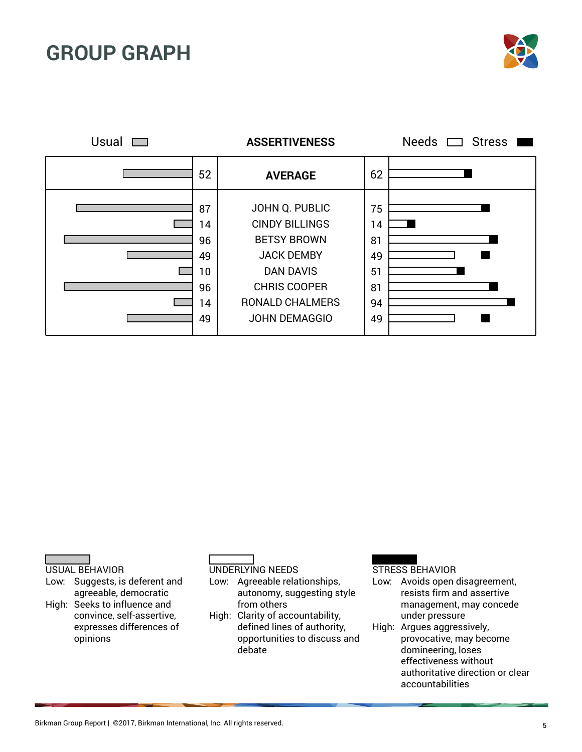



#### USUAL BEHAVIOR

- Low: Suggests, is deferent and agreeable, democratic High: Seeks to influence and
- convince, self-assertive, expresses differences of opinions

#### UNDERLYING NEEDS

Low: Agreeable relationships, autonomy, suggesting style from others

High: Clarity of accountability, defined lines of authority, opportunities to discuss and debate

#### STRESS BEHAVIOR

Low: Avoids open disagreement, resists firm and assertive management, may concede under pressure

High: Argues aggressively, provocative, may become domineering, loses effectiveness without authoritative direction or clear accountabilities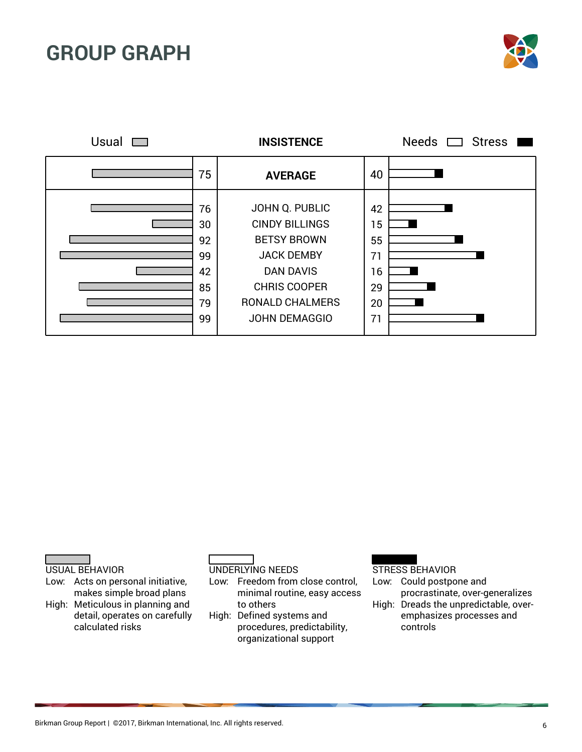



USUAL BEHAVIOR

Low: Acts on personal initiative, makes simple broad plans High: Meticulous in planning and

detail, operates on carefully calculated risks

UNDERLYING NEEDS

Low: Freedom from close control, minimal routine, easy access to others

High: Defined systems and procedures, predictability, organizational support

#### STRESS BEHAVIOR

Low: Could postpone and procrastinate, over-generalizes

High: Dreads the unpredictable, overemphasizes processes and controls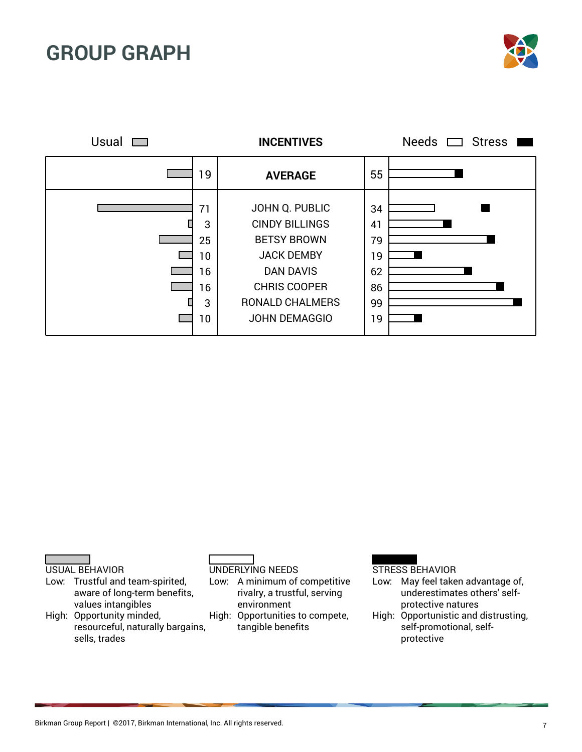





- Low: Trustful and team-spirited, aware of long-term benefits, values intangibles
- High: Opportunity minded, resourceful, naturally bargains, sells, trades

UNDERLYING NEEDS

Low: A minimum of competitive rivalry, a trustful, serving environment

High: Opportunities to compete, tangible benefits

- Low: May feel taken advantage of, underestimates others' selfprotective natures
- High: Opportunistic and distrusting, self-promotional, selfprotective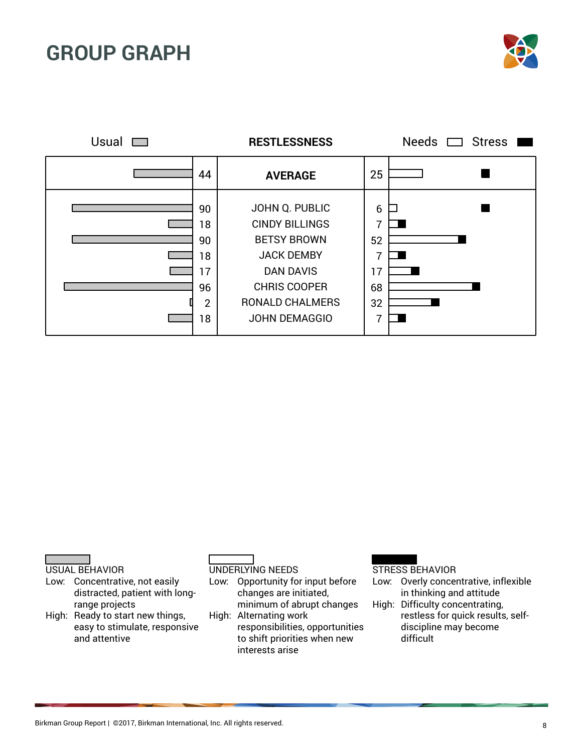

| Usual |                                                          | <b>RESTLESSNESS</b>                                                                                                                                                             |                                     | Needs $\Box$ Stress |
|-------|----------------------------------------------------------|---------------------------------------------------------------------------------------------------------------------------------------------------------------------------------|-------------------------------------|---------------------|
|       | 44                                                       | <b>AVERAGE</b>                                                                                                                                                                  | 25                                  |                     |
|       | 90<br>18<br>90<br>18<br>17<br>96<br>$\overline{2}$<br>18 | JOHN Q. PUBLIC<br><b>CINDY BILLINGS</b><br><b>BETSY BROWN</b><br><b>JACK DEMBY</b><br><b>DAN DAVIS</b><br><b>CHRIS COOPER</b><br><b>RONALD CHALMERS</b><br><b>JOHN DEMAGGIO</b> | 6<br>7<br>52<br>17<br>68<br>32<br>7 |                     |

USUAL BEHAVIOR

- Low: Concentrative, not easily distracted, patient with longrange projects
- High: Ready to start new things, easy to stimulate, responsive and attentive

UNDERLYING NEEDS

Low: Opportunity for input before changes are initiated, minimum of abrupt changes

High: Alternating work responsibilities, opportunities to shift priorities when new interests arise

- Low: Overly concentrative, inflexible in thinking and attitude
- High: Difficulty concentrating, restless for quick results, selfdiscipline may become difficult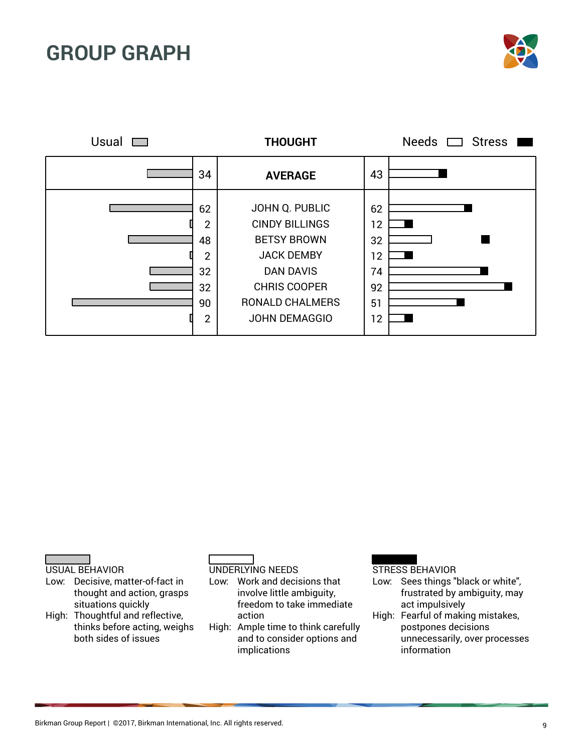



USUAL BEHAVIOR

- Low: Decisive, matter-of-fact in thought and action, grasps situations quickly
- High: Thoughtful and reflective, thinks before acting, weighs both sides of issues

UNDERLYING NEEDS

Low: Work and decisions that involve little ambiguity, freedom to take immediate action

High: Ample time to think carefully and to consider options and implications

- Low: Sees things "black or white", frustrated by ambiguity, may act impulsively
- High: Fearful of making mistakes, postpones decisions unnecessarily, over processes information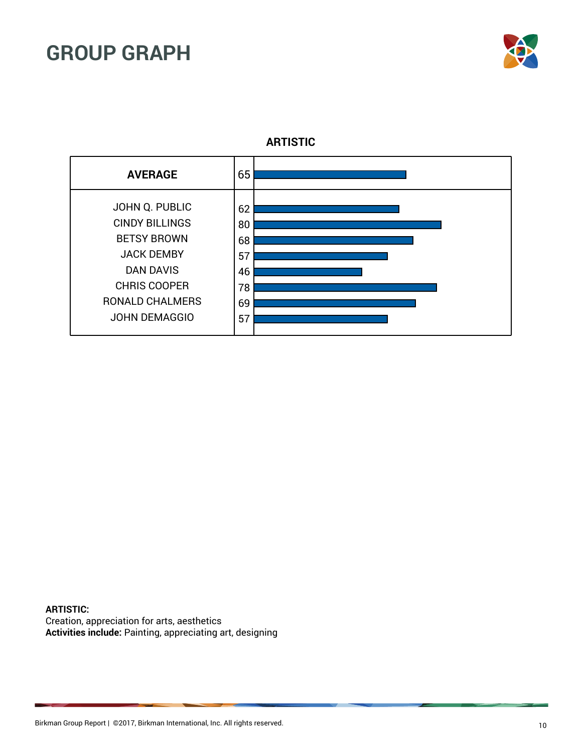



**ARTISTIC**

**ARTISTIC:** Creation, appreciation for arts, aesthetics **Activities include:** Painting, appreciating art, designing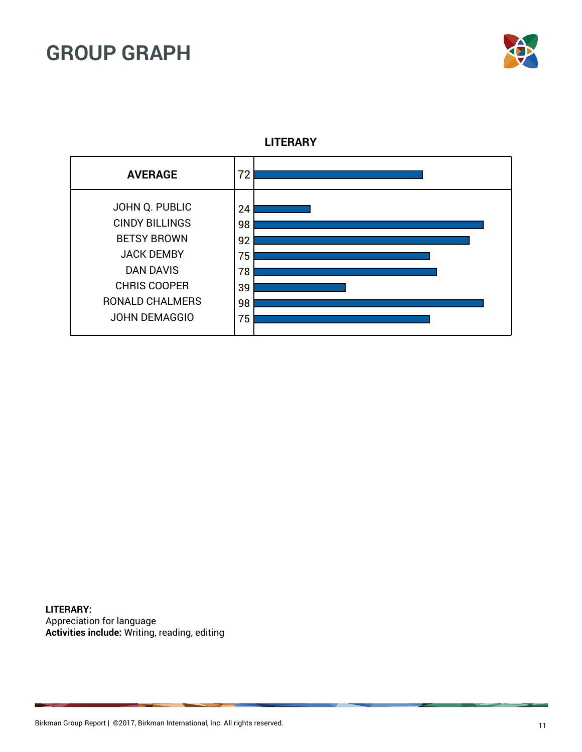



**LITERARY**

**LITERARY:** Appreciation for language **Activities include:** Writing, reading, editing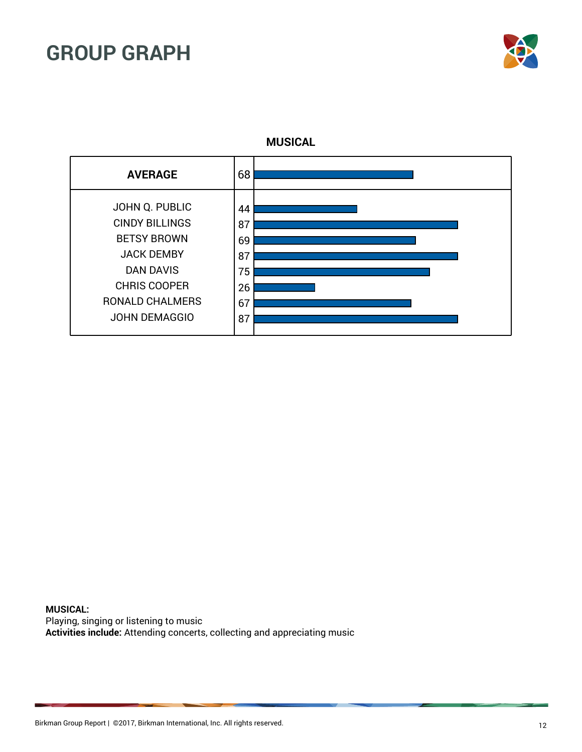



**MUSICAL**

**MUSICAL:** Playing, singing or listening to music **Activities include:** Attending concerts, collecting and appreciating music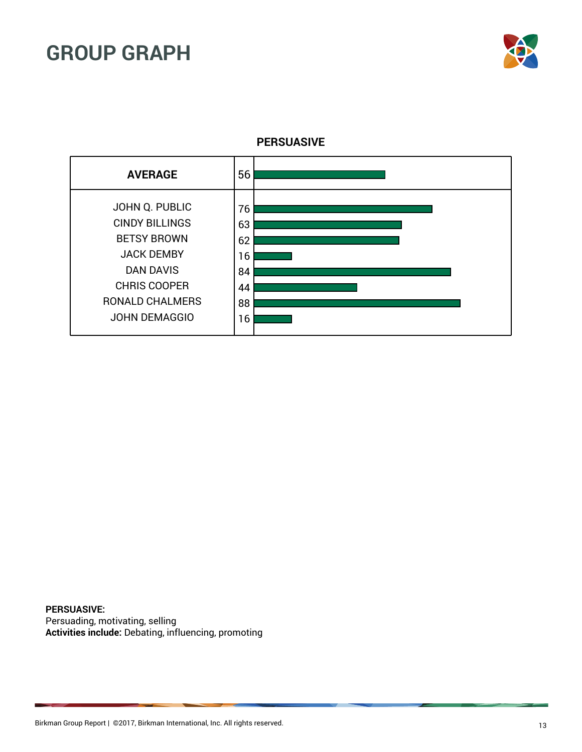



**PERSUASIVE**

**PERSUASIVE:** Persuading, motivating, selling **Activities include:** Debating, influencing, promoting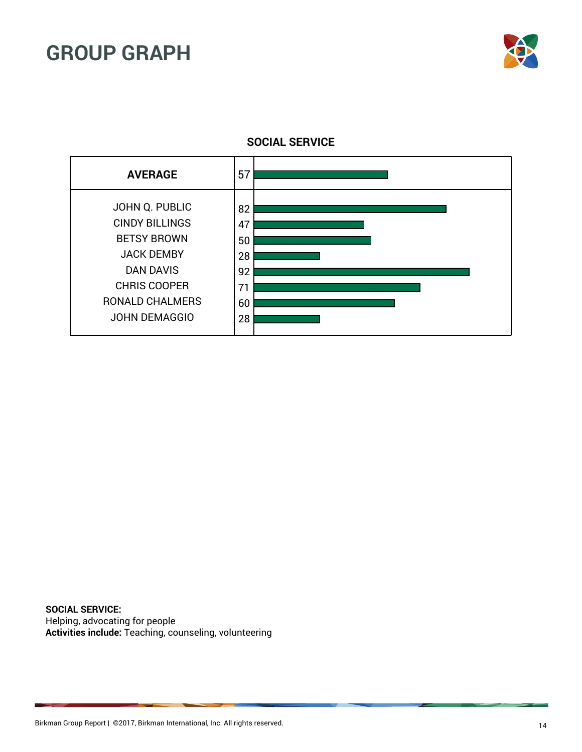



**SOCIAL SERVICE**

**SOCIAL SERVICE:** Helping, advocating for people **Activities include:** Teaching, counseling, volunteering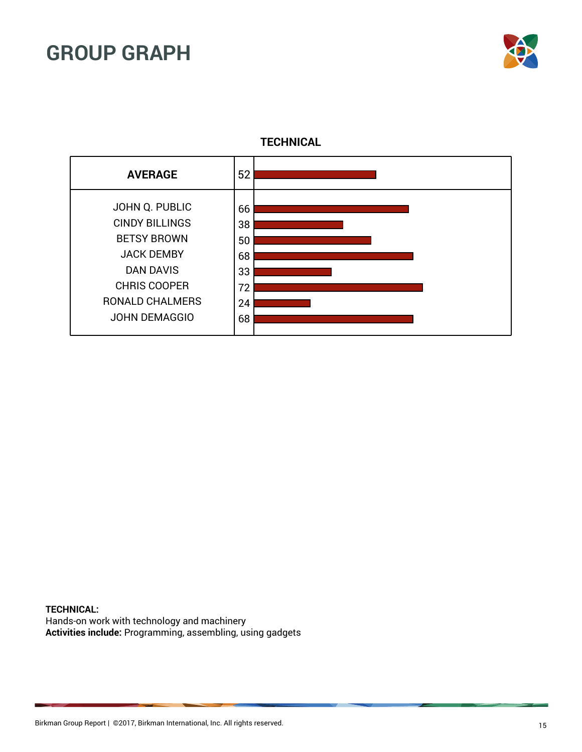



**TECHNICAL**

**TECHNICAL:** Hands-on work with technology and machinery **Activities include:** Programming, assembling, using gadgets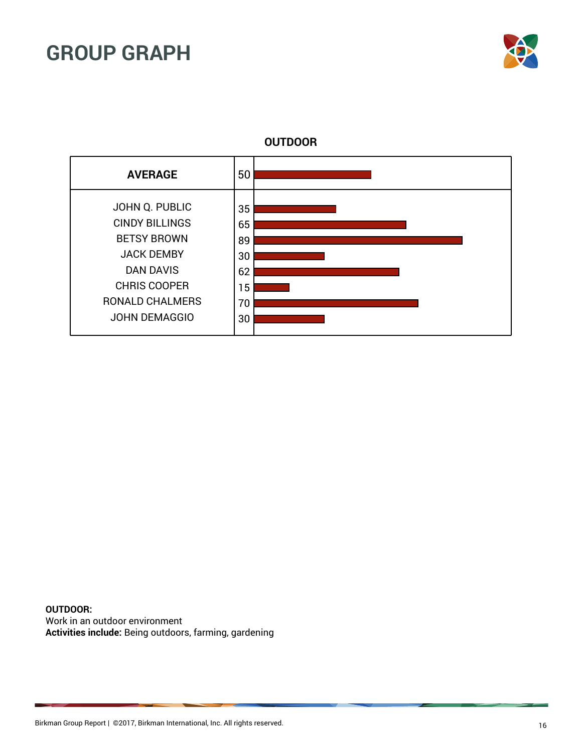



**OUTDOOR**

**OUTDOOR:** Work in an outdoor environment **Activities include:** Being outdoors, farming, gardening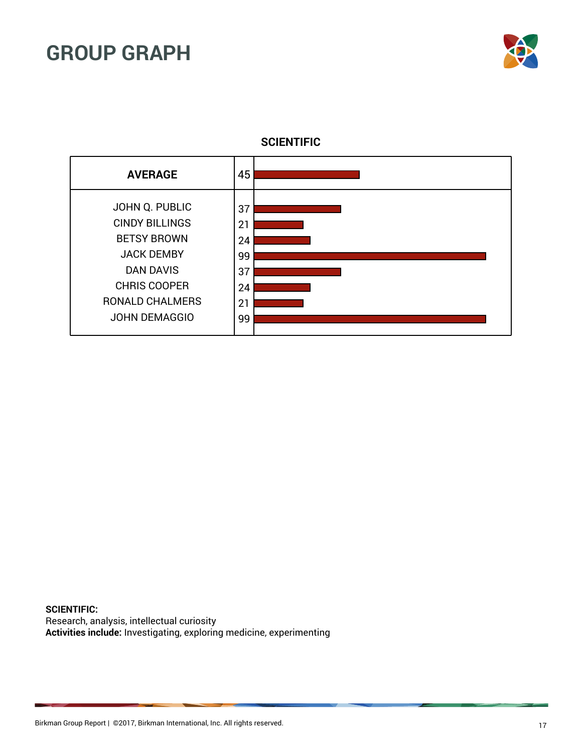



**SCIENTIFIC**

**SCIENTIFIC:** Research, analysis, intellectual curiosity **Activities include:** Investigating, exploring medicine, experimenting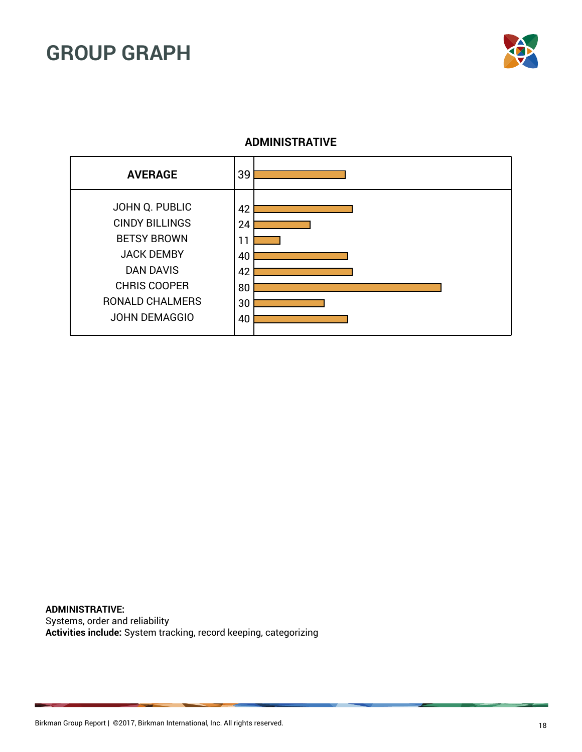

### **ADMINISTRATIVE**



**ADMINISTRATIVE:** Systems, order and reliability **Activities include:** System tracking, record keeping, categorizing